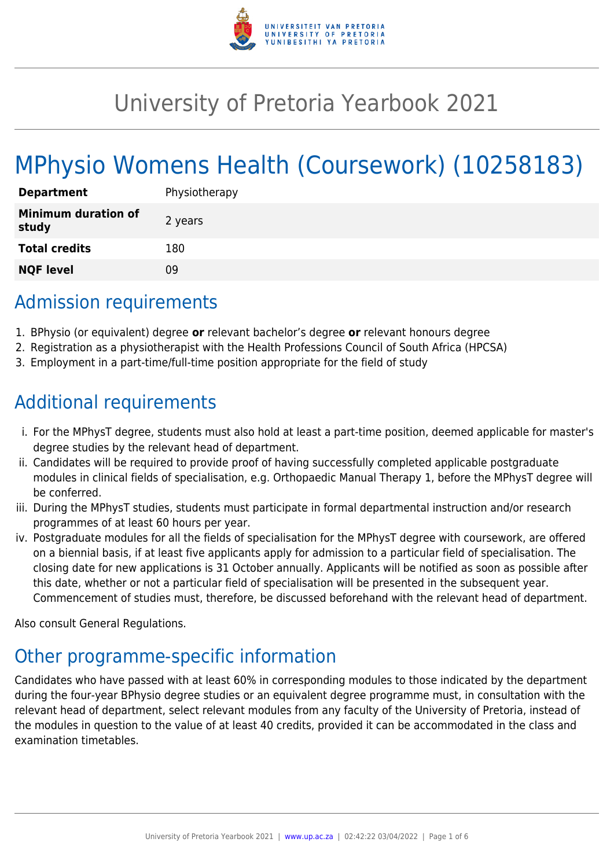

# University of Pretoria Yearbook 2021

# MPhysio Womens Health (Coursework) (10258183)

| <b>Department</b>                   | Physiotherapy |
|-------------------------------------|---------------|
| <b>Minimum duration of</b><br>study | 2 years       |
| <b>Total credits</b>                | 180           |
| <b>NQF level</b>                    | Ωd            |

# Admission requirements

- 1. BPhysio (or equivalent) degree **or** relevant bachelor's degree **or** relevant honours degree
- 2. Registration as a physiotherapist with the Health Professions Council of South Africa (HPCSA)
- 3. Employment in a part-time/full-time position appropriate for the field of study

# Additional requirements

- i. For the MPhysT degree, students must also hold at least a part-time position, deemed applicable for master's degree studies by the relevant head of department.
- ii. Candidates will be required to provide proof of having successfully completed applicable postgraduate modules in clinical fields of specialisation, e.g. Orthopaedic Manual Therapy 1, before the MPhysT degree will be conferred.
- iii. During the MPhysT studies, students must participate in formal departmental instruction and/or research programmes of at least 60 hours per year.
- iv. Postgraduate modules for all the fields of specialisation for the MPhysT degree with coursework, are offered on a biennial basis, if at least five applicants apply for admission to a particular field of specialisation. The closing date for new applications is 31 October annually. Applicants will be notified as soon as possible after this date, whether or not a particular field of specialisation will be presented in the subsequent year. Commencement of studies must, therefore, be discussed beforehand with the relevant head of department.

Also consult General Regulations.

# Other programme-specific information

Candidates who have passed with at least 60% in corresponding modules to those indicated by the department during the four-year BPhysio degree studies or an equivalent degree programme must, in consultation with the relevant head of department, select relevant modules from any faculty of the University of Pretoria, instead of the modules in question to the value of at least 40 credits, provided it can be accommodated in the class and examination timetables.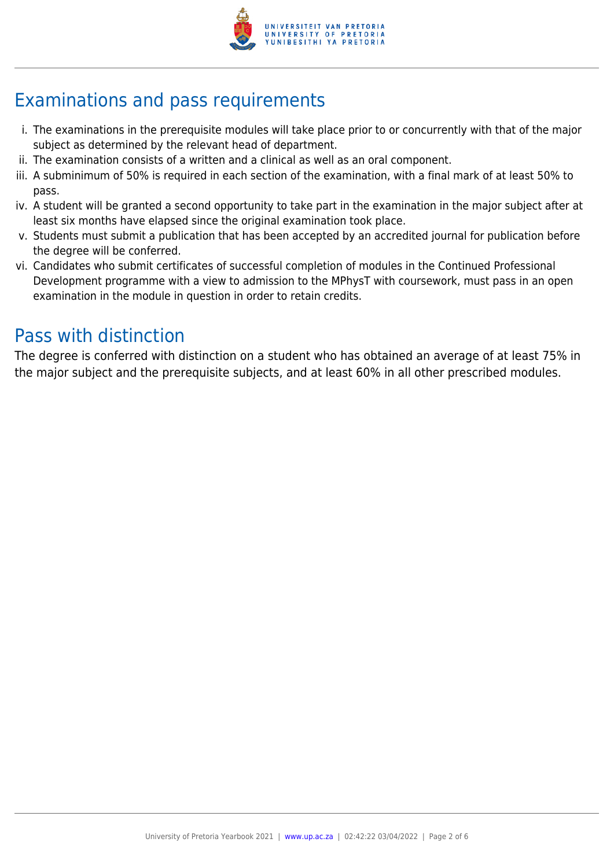

# Examinations and pass requirements

- i. The examinations in the prerequisite modules will take place prior to or concurrently with that of the major subject as determined by the relevant head of department.
- ii. The examination consists of a written and a clinical as well as an oral component.
- iii. A subminimum of 50% is required in each section of the examination, with a final mark of at least 50% to pass.
- iv. A student will be granted a second opportunity to take part in the examination in the major subject after at least six months have elapsed since the original examination took place.
- v. Students must submit a publication that has been accepted by an accredited journal for publication before the degree will be conferred.
- vi. Candidates who submit certificates of successful completion of modules in the Continued Professional Development programme with a view to admission to the MPhysT with coursework, must pass in an open examination in the module in question in order to retain credits.

## Pass with distinction

The degree is conferred with distinction on a student who has obtained an average of at least 75% in the major subject and the prerequisite subjects, and at least 60% in all other prescribed modules.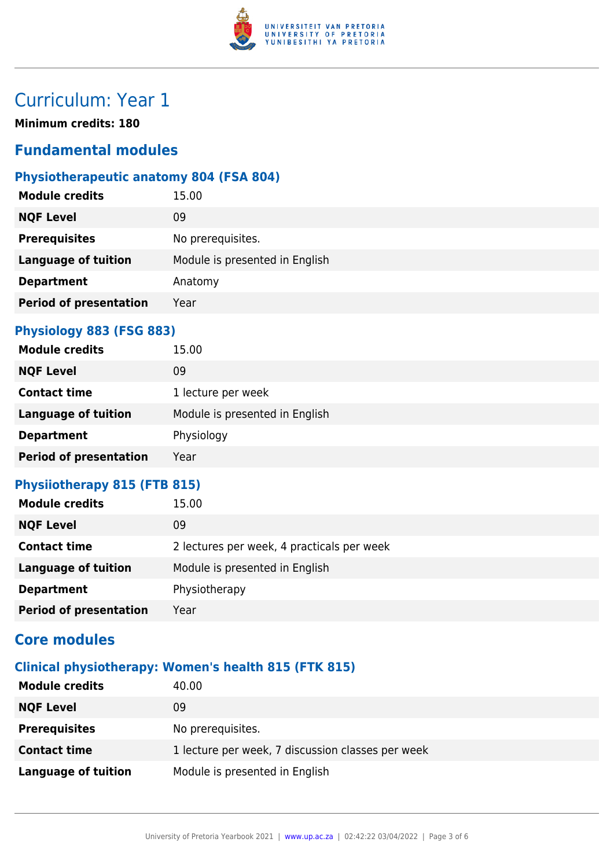

# Curriculum: Year 1

**Minimum credits: 180**

### **Fundamental modules**

### **Physiotherapeutic anatomy 804 (FSA 804)**

| <b>Module credits</b>         | 15.00                          |
|-------------------------------|--------------------------------|
| <b>NQF Level</b>              | 09                             |
| <b>Prerequisites</b>          | No prerequisites.              |
| <b>Language of tuition</b>    | Module is presented in English |
| <b>Department</b>             | Anatomy                        |
| <b>Period of presentation</b> | Year                           |

#### **Physiology 883 (FSG 883)**

| <b>Module credits</b>         | 15.00                          |
|-------------------------------|--------------------------------|
| <b>NQF Level</b>              | 09                             |
| <b>Contact time</b>           | 1 lecture per week             |
| <b>Language of tuition</b>    | Module is presented in English |
| <b>Department</b>             | Physiology                     |
| <b>Period of presentation</b> | Year                           |

### **Physiiotherapy 815 (FTB 815)**

| <b>Module credits</b>         | 15.00                                      |
|-------------------------------|--------------------------------------------|
| <b>NQF Level</b>              | 09                                         |
| <b>Contact time</b>           | 2 lectures per week, 4 practicals per week |
| <b>Language of tuition</b>    | Module is presented in English             |
| <b>Department</b>             | Physiotherapy                              |
| <b>Period of presentation</b> | Year                                       |

### **Core modules**

#### **Clinical physiotherapy: Women's health 815 (FTK 815)**

| <b>Module credits</b> | 40.00                                             |
|-----------------------|---------------------------------------------------|
| <b>NQF Level</b>      | 09                                                |
| <b>Prerequisites</b>  | No prerequisites.                                 |
| <b>Contact time</b>   | 1 lecture per week, 7 discussion classes per week |
| Language of tuition   | Module is presented in English                    |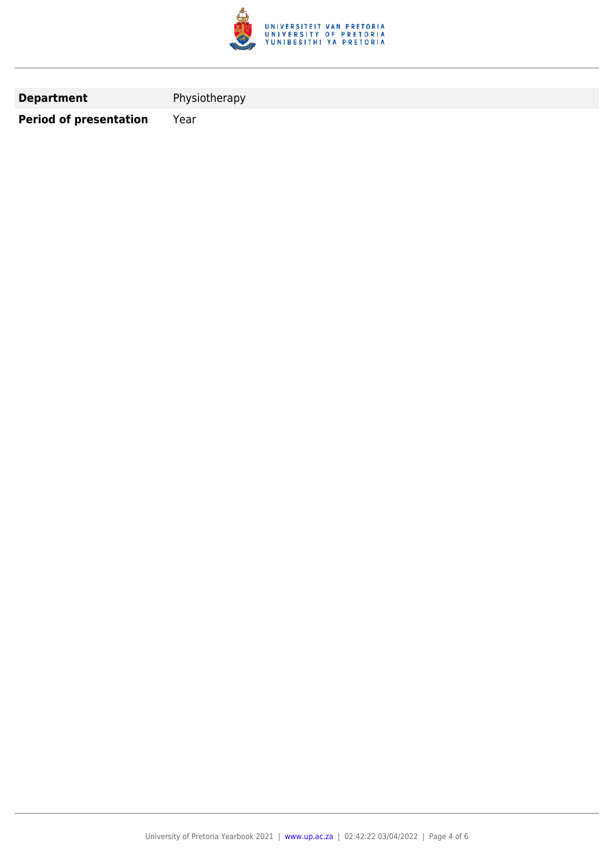

**Department** Physiotherapy

**Period of presentation** Year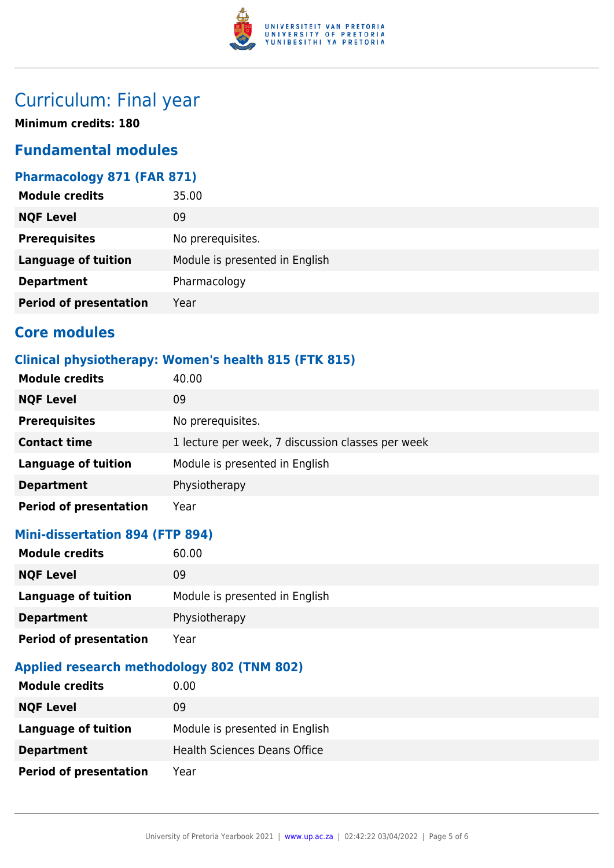

# Curriculum: Final year

**Minimum credits: 180**

### **Fundamental modules**

### **Pharmacology 871 (FAR 871)**

| <b>NQF Level</b><br>09                                       |  |
|--------------------------------------------------------------|--|
| <b>Prerequisites</b><br>No prerequisites.                    |  |
| Module is presented in English<br><b>Language of tuition</b> |  |
| Pharmacology<br><b>Department</b>                            |  |
| <b>Period of presentation</b><br>Year                        |  |

### **Core modules**

### **Clinical physiotherapy: Women's health 815 (FTK 815)**

| <b>Module credits</b>         | 40.00                                             |
|-------------------------------|---------------------------------------------------|
| <b>NQF Level</b>              | 09                                                |
| <b>Prerequisites</b>          | No prerequisites.                                 |
| <b>Contact time</b>           | 1 lecture per week, 7 discussion classes per week |
| <b>Language of tuition</b>    | Module is presented in English                    |
| <b>Department</b>             | Physiotherapy                                     |
| <b>Period of presentation</b> | Year                                              |

#### **Mini-dissertation 894 (FTP 894)**

| <b>Module credits</b>         | 60.00                          |
|-------------------------------|--------------------------------|
| <b>NQF Level</b>              | 09                             |
| <b>Language of tuition</b>    | Module is presented in English |
| <b>Department</b>             | Physiotherapy                  |
| <b>Period of presentation</b> | Year                           |

#### **Applied research methodology 802 (TNM 802)**

| <b>Module credits</b>         | $0.00\,$                            |
|-------------------------------|-------------------------------------|
| <b>NQF Level</b>              | 09                                  |
| Language of tuition           | Module is presented in English      |
| <b>Department</b>             | <b>Health Sciences Deans Office</b> |
| <b>Period of presentation</b> | Year                                |